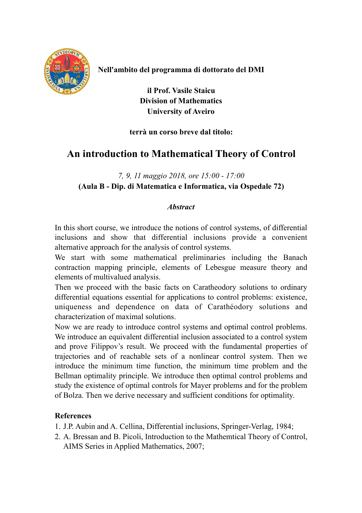

**Nell'ambito del programma di dottorato del DMI** 

**il Prof. Vasile Staicu Division of Mathematics University of Aveiro** 

## **terrà un corso breve dal titolo:**

## **An introduction to Mathematical Theory of Control**

*7, 9, 11 maggio 2018, ore 15:00 - 17:00* **(Aula B - Dip. di Matematica e Informatica, via Ospedale 72)** 

## *Abstract*

In this short course, we introduce the notions of control systems, of differential inclusions and show that differential inclusions provide a convenient alternative approach for the analysis of control systems.

We start with some mathematical preliminaries including the Banach contraction mapping principle, elements of Lebesgue measure theory and elements of multivalued analysis.

Then we proceed with the basic facts on Caratheodory solutions to ordinary differential equations essential for applications to control problems: existence, uniqueness and dependence on data of Carathéodory solutions and characterization of maximal solutions.

Now we are ready to introduce control systems and optimal control problems. We introduce an equivalent differential inclusion associated to a control system and prove Filippov's result. We proceed with the fundamental properties of trajectories and of reachable sets of a nonlinear control system. Then we introduce the minimum time function, the minimum time problem and the Bellman optimality principle. We introduce then optimal control problems and study the existence of optimal controls for Mayer problems and for the problem of Bolza. Then we derive necessary and sufficient conditions for optimality.

## **References**

- 1. J.P. Aubin and A. Cellina, Differential inclusions, Springer-Verlag, 1984;
- 2. A. Bressan and B. Picoli, Introduction to the Mathemtical Theory of Control, AIMS Series in Applied Mathematics, 2007;